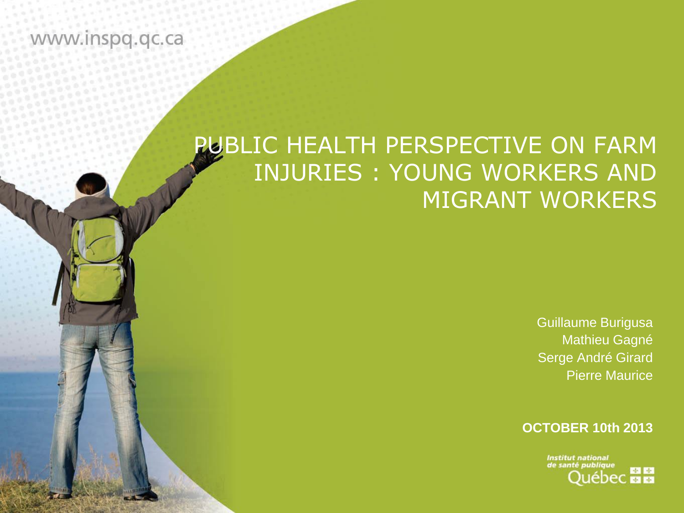#### www.inspq.qc.ca

# PUBLIC HEALTH PERSPECTIVE ON FARM INJURIES : YOUNG WORKERS AND MIGRANT WORKERS

Guillaume Burigusa Mathieu Gagné Serge André Girard Pierre Maurice

**OCTOBER 10th 2013**

**Institut national** de santé publique **MA**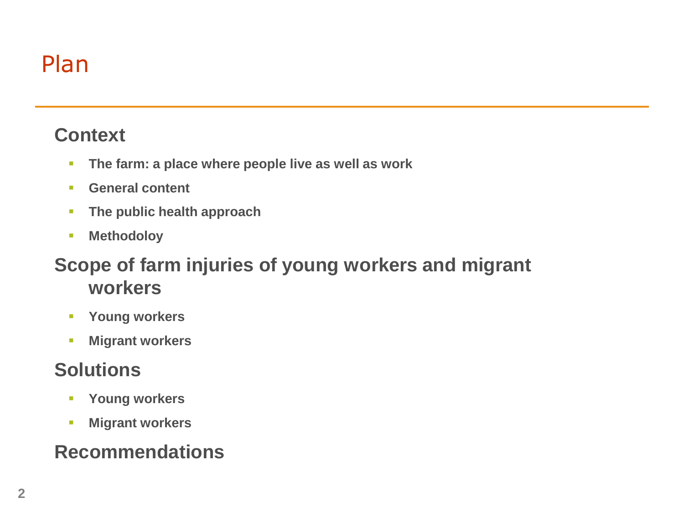# Plan

#### **Context**

- **The farm: a place where people live as well as work**
- **General content**
- **The public health approach**
- **Methodoloy**

#### **Scope of farm injuries of young workers and migrant workers**

- **Young workers**
- **Migrant workers**

#### **Solutions**

- **Young workers**
- **Migrant workers**

### **Recommendations**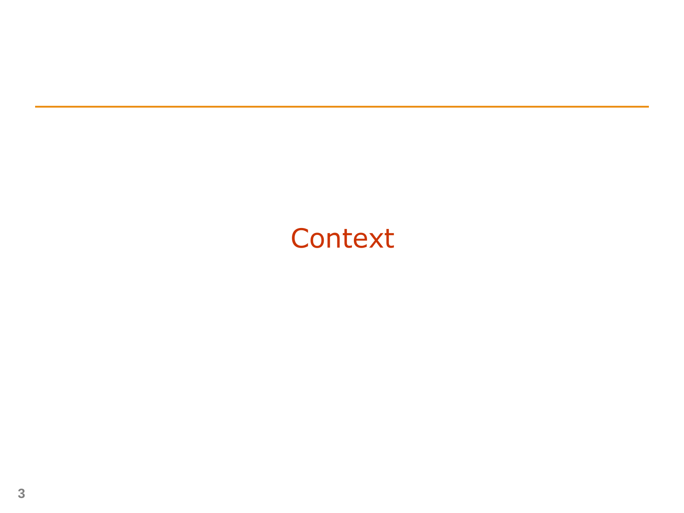# **Context**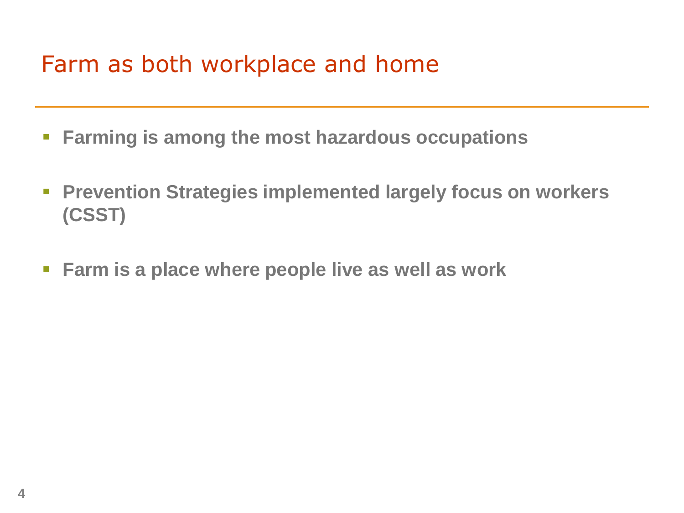# Farm as both workplace and home

- **Farming is among the most hazardous occupations**
- **Prevention Strategies implemented largely focus on workers (CSST)**
- **Farm is a place where people live as well as work**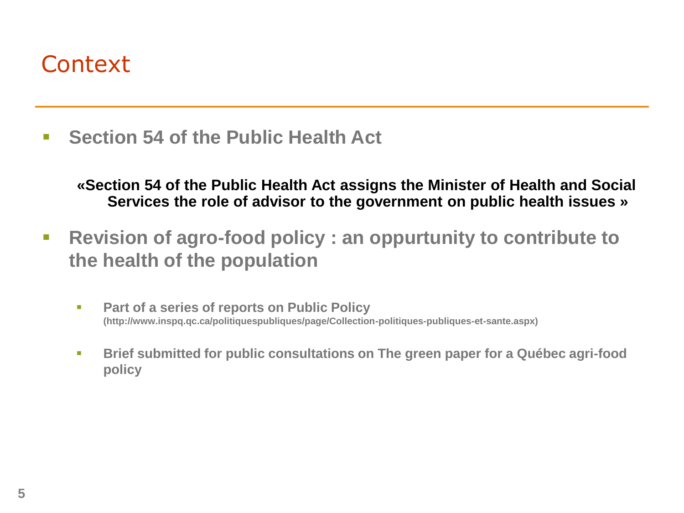### **Context**

**Section 54 of the Public Health Act**

**«Section 54 of the Public Health Act assigns the Minister of Health and Social Services the role of advisor to the government on public health issues »**

- **Revision of agro-food policy : an oppurtunity to contribute to the health of the population**
	- **Part of a series of reports on Public Policy (http://www.inspq.qc.ca/politiquespubliques/page/Collection-politiques-publiques-et-sante.aspx)**
	- **Brief submitted for public consultations on The green paper for a Québec agri-food policy**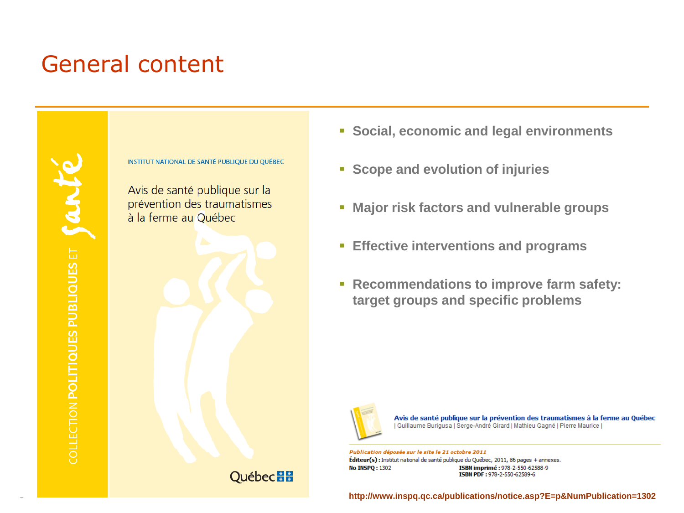# General content



**INSTITUT NATIONAL DE SANTÉ PUBLIQUE DU QUÉBEC** 

Avis de santé publique sur la prévention des traumatismes à la ferme au Québec



- **Social, economic and legal environments**
- **Scope and evolution of injuries**
- **Major risk factors and vulnerable groups**
- **Effective interventions and programs**
- **Recommendations to improve farm safety: target groups and specific problems**



Avis de santé publique sur la prévention des traumatismes à la ferme au Québec | Guillaume Burigusa | Serge-André Girard | Mathieu Gagné | Pierre Maurice |

Publication déposée sur le site le 21 octobre 2011 Éditeur(s) : Institut national de santé publique du Québec, 2011, 86 pages + annexes. **No INSPQ: 1302** ISBN imprimé: 978-2-550-62588-9 ISBN PDF: 978-2-550-62589-6

**http://www.inspq.qc.ca/publications/notice.asp?E=p&NumPublication=1302**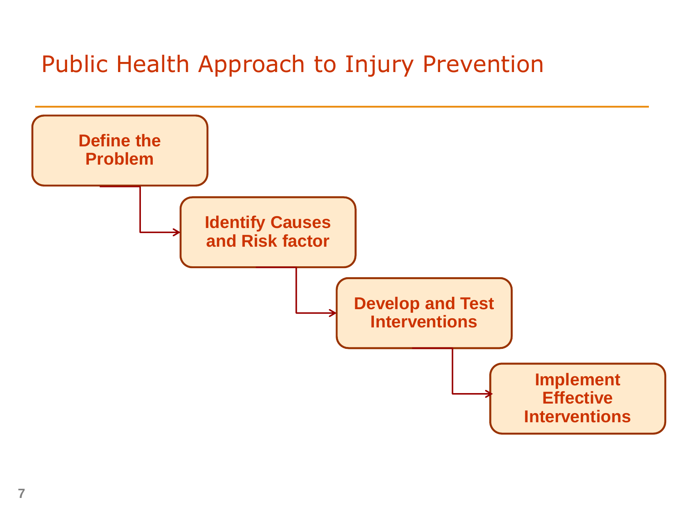# Public Health Approach to Injury Prevention

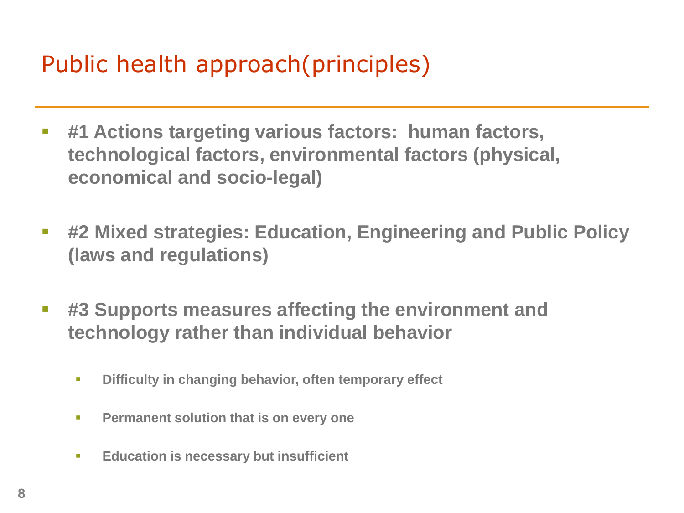# Public health approach(principles)

- **#1 Actions targeting various factors: human factors, technological factors, environmental factors (physical, economical and socio-legal)**
- **#2 Mixed strategies: Education, Engineering and Public Policy (laws and regulations)**
- **#3 Supports measures affecting the environment and technology rather than individual behavior**
	- **Difficulty in changing behavior, often temporary effect**
	- **Permanent solution that is on every one**
	- **Education is necessary but insufficient**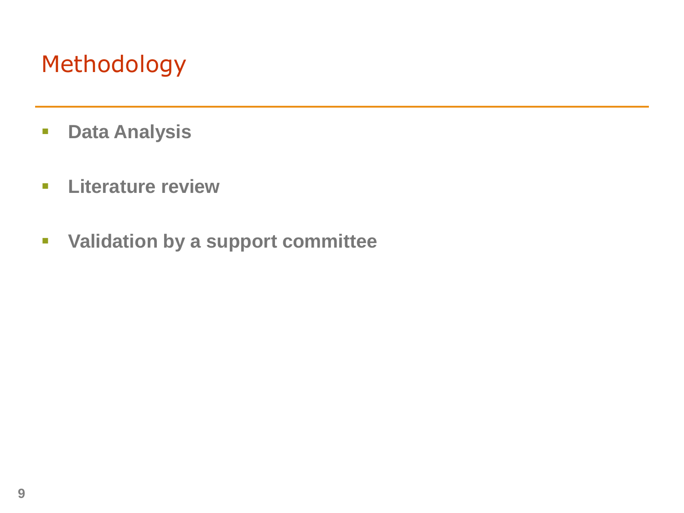# Methodology

- **Data Analysis**
- **Literature review**
- **Validation by a support committee**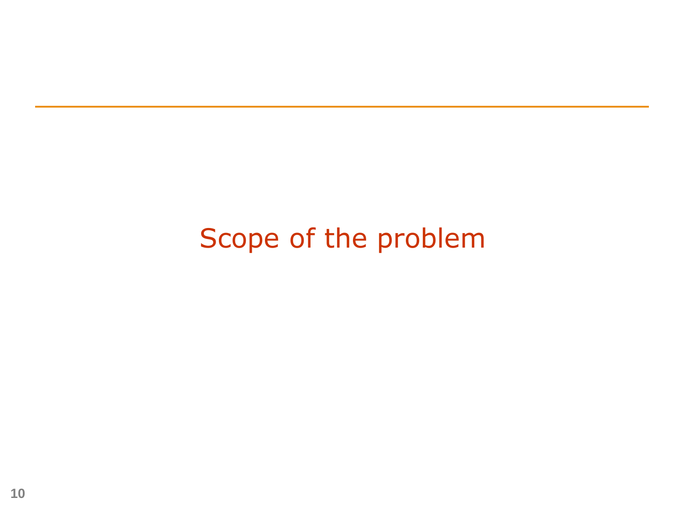# Scope of the problem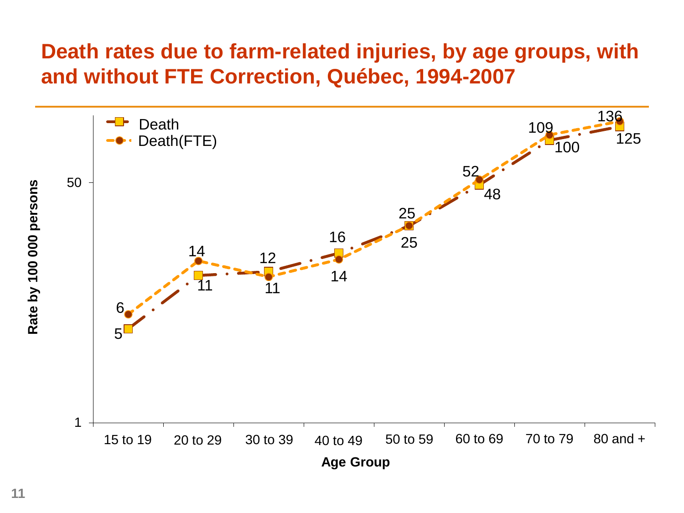#### **Death rates due to farm-related injuries, by age groups, with and without FTE Correction, Québec, 1994-2007**

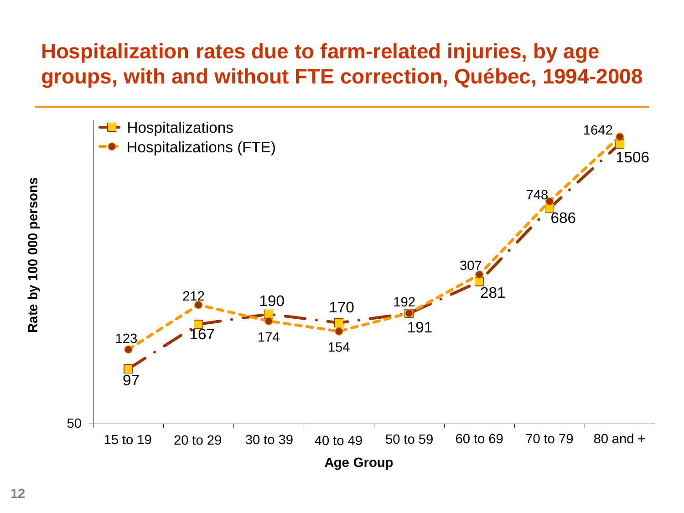### **Hospitalization rates due to farm-related injuries, by age groups, with and without FTE correction, Québec, 1994-2008**

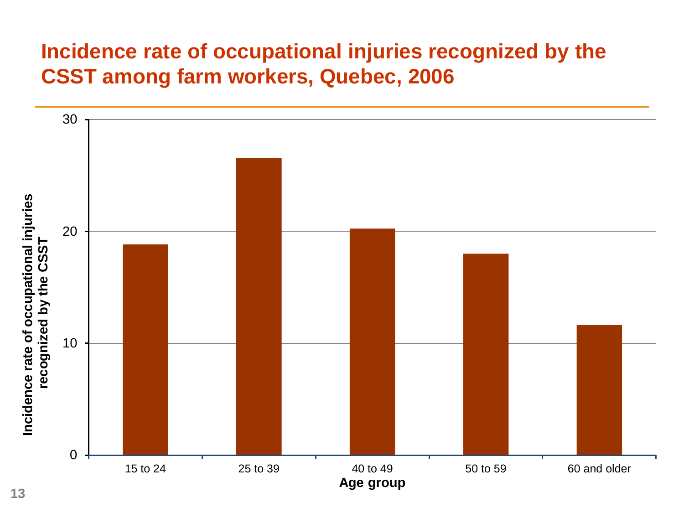### **Incidence rate of occupational injuries recognized by the CSST among farm workers, Quebec, 2006**

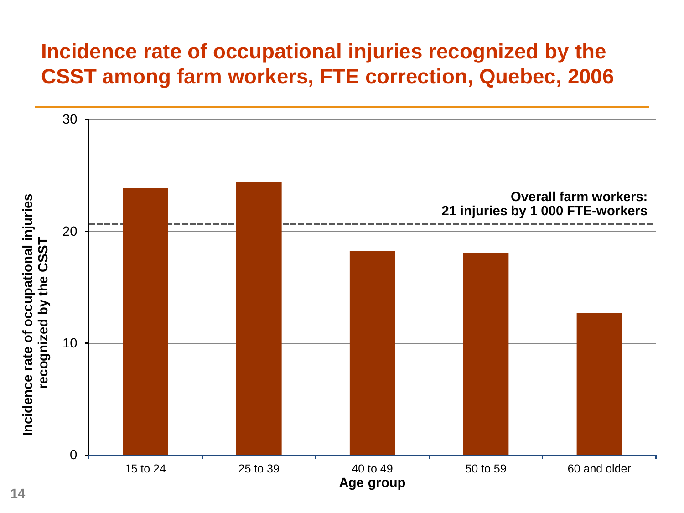### **Incidence rate of occupational injuries recognized by the CSST among farm workers, FTE correction, Quebec, 2006**

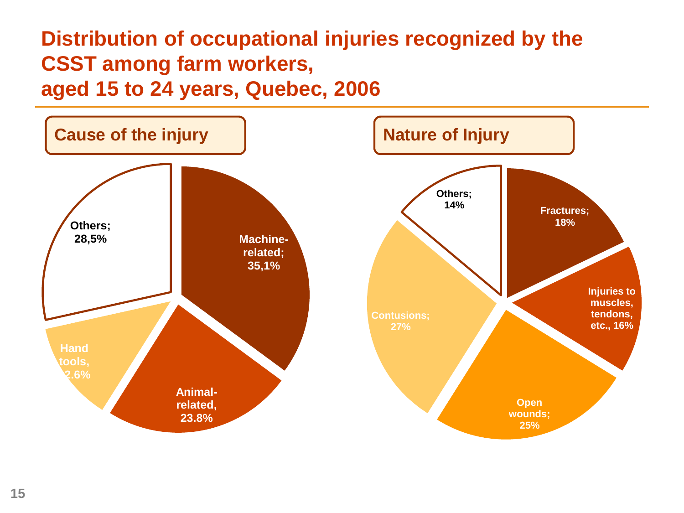### **Distribution of occupational injuries recognized by the CSST among farm workers, aged 15 to 24 years, Quebec, 2006**

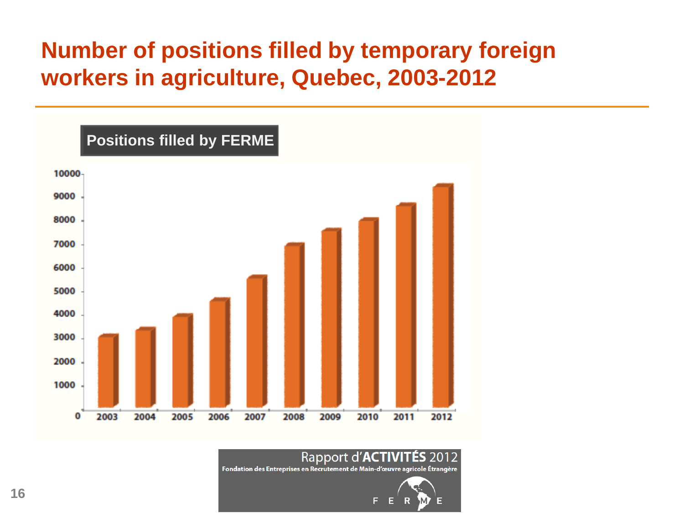### **Number of positions filled by temporary foreign workers in agriculture, Quebec, 2003-2012**



#### Rapport d'ACTIVITÉS 20

Fondation des Entreprises en Recrutement de Main-d'œuvre agricole Étrangère

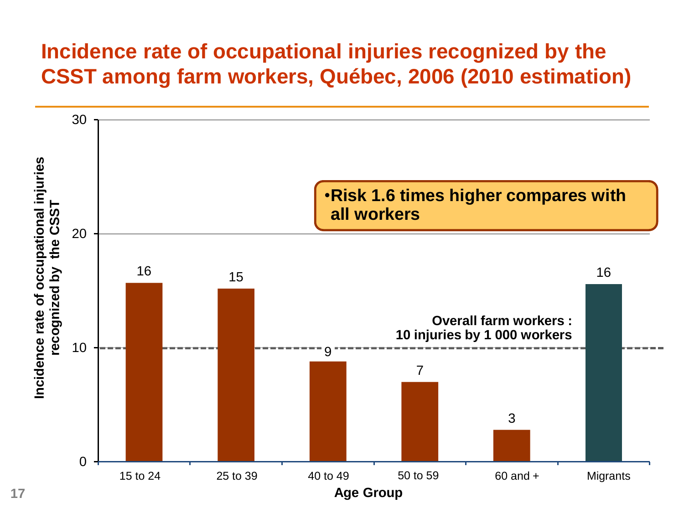#### **Incidence rate of occupational injuries recognized by the CSST among farm workers, Québec, 2006 (2010 estimation)**

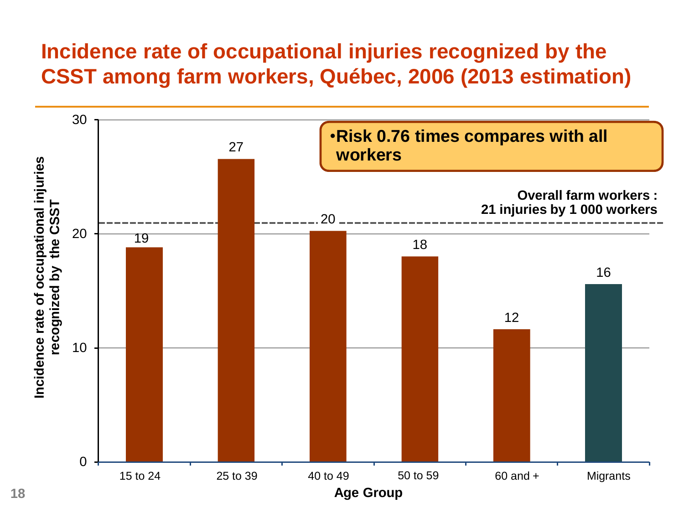#### **Incidence rate of occupational injuries recognized by the CSST among farm workers, Québec, 2006 (2013 estimation)**

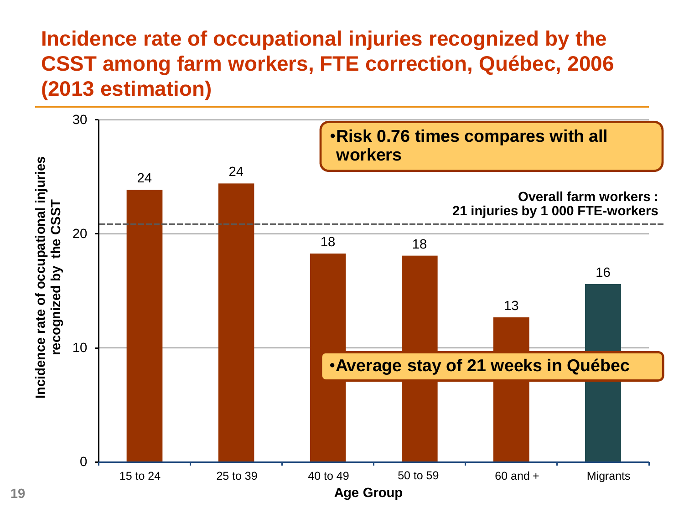### **Incidence rate of occupational injuries recognized by the CSST among farm workers, FTE correction, Québec, 2006 (2013 estimation)**

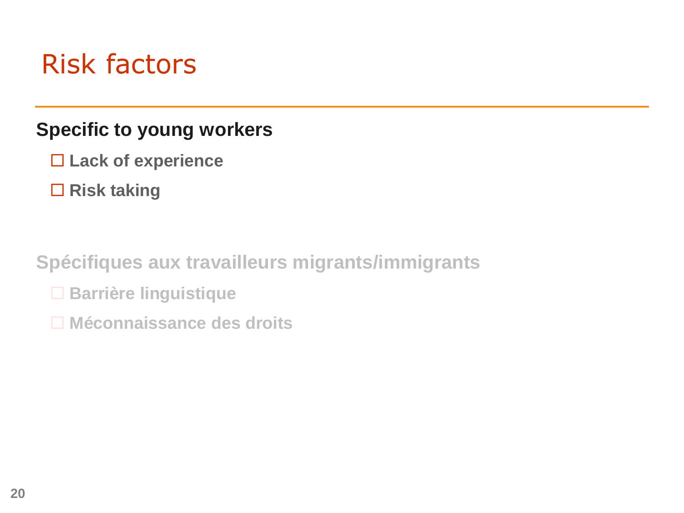# Risk factors

#### **Specific to young workers**

- **Lack of experience**
- **Risk taking**

**Spécifiques aux travailleurs migrants/immigrants**

- **Barrière linguistique**
- **Méconnaissance des droits**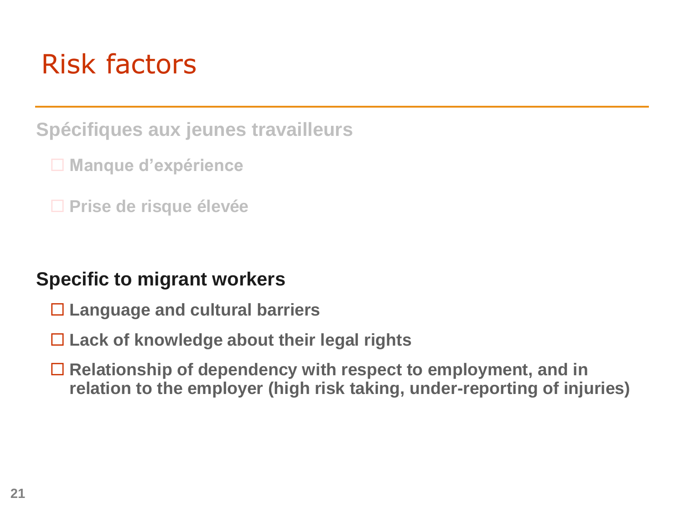# Risk factors

**Spécifiques aux jeunes travailleurs**

- **Manque d'expérience**
- **Prise de risque élevée**

#### **Specific to migrant workers**

- **Language and cultural barriers**
- **Lack of knowledge about their legal rights**
- **Relationship of dependency with respect to employment, and in relation to the employer (high risk taking, under-reporting of injuries)**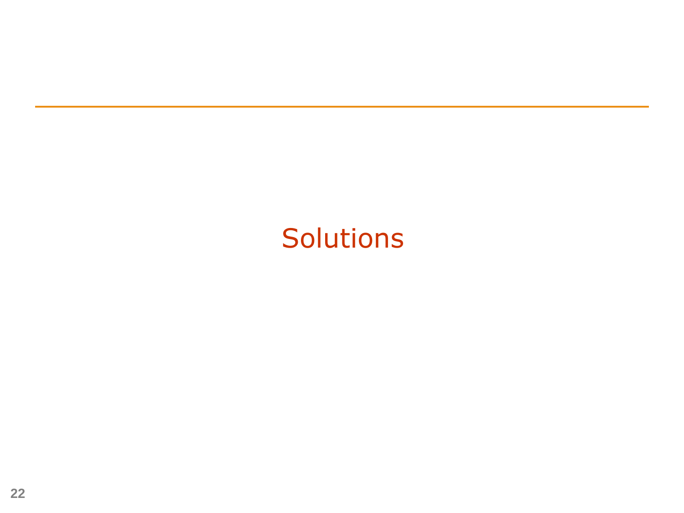# Solutions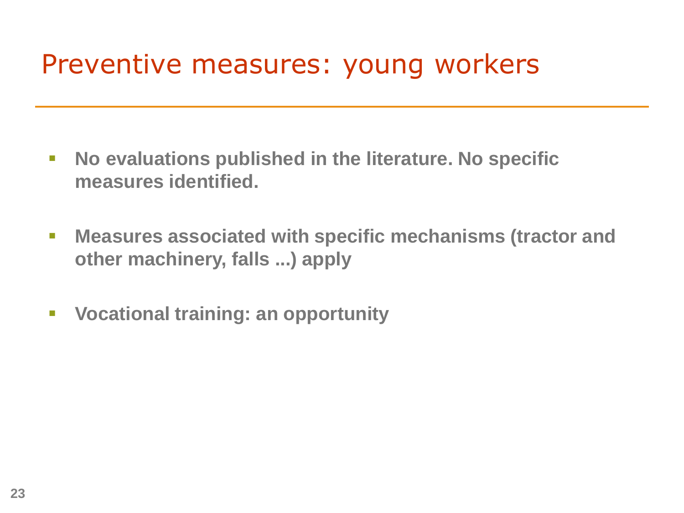# Preventive measures: young workers

- **No evaluations published in the literature. No specific measures identified.**
- **Measures associated with specific mechanisms (tractor and other machinery, falls ...) apply**
- **Vocational training: an opportunity**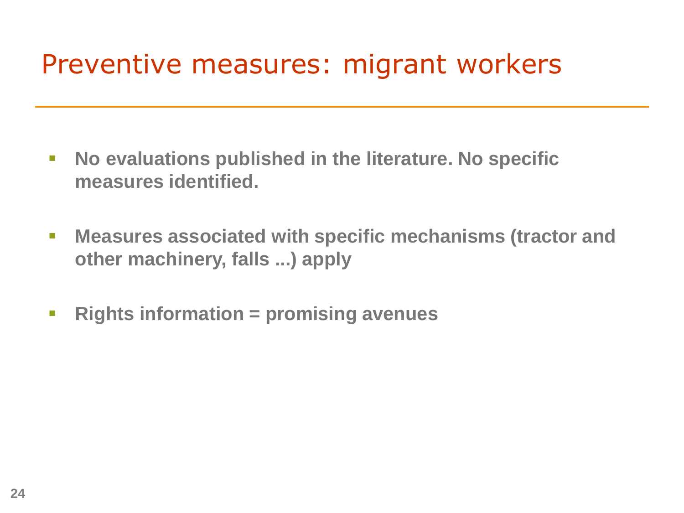# Preventive measures: migrant workers

- **No evaluations published in the literature. No specific measures identified.**
- **Measures associated with specific mechanisms (tractor and other machinery, falls ...) apply**
- **Rights information = promising avenues**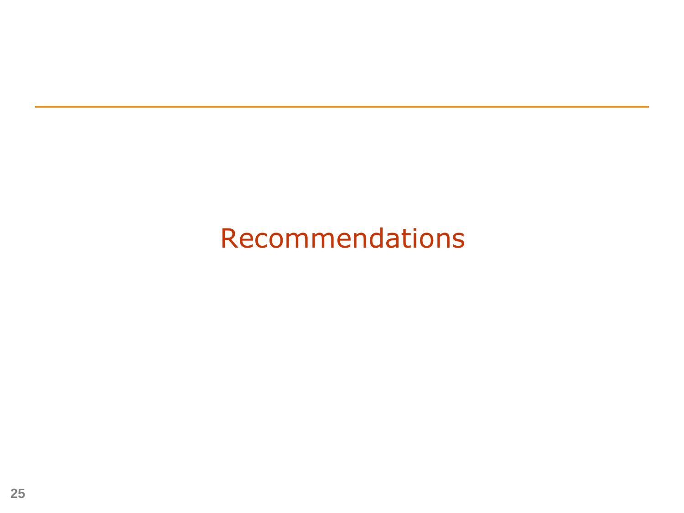# Recommendations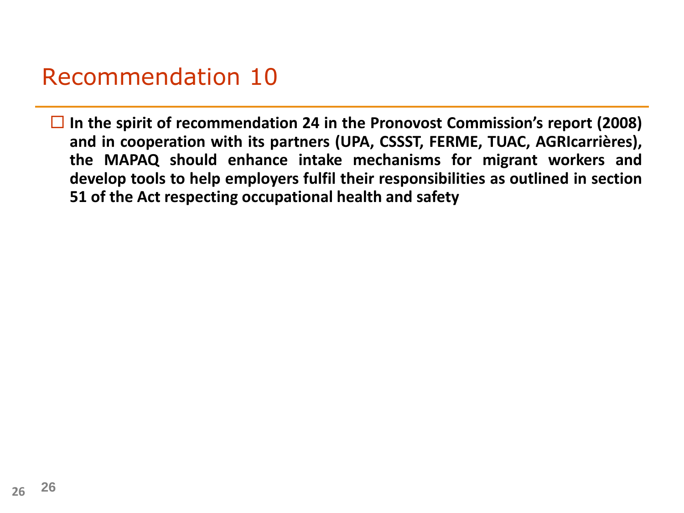## Recommendation 10

 **In the spirit of recommendation 24 in the Pronovost Commission's report (2008) and in cooperation with its partners (UPA, CSSST, FERME, TUAC, AGRIcarrières), the MAPAQ should enhance intake mechanisms for migrant workers and develop tools to help employers fulfil their responsibilities as outlined in section 51 of the Act respecting occupational health and safety**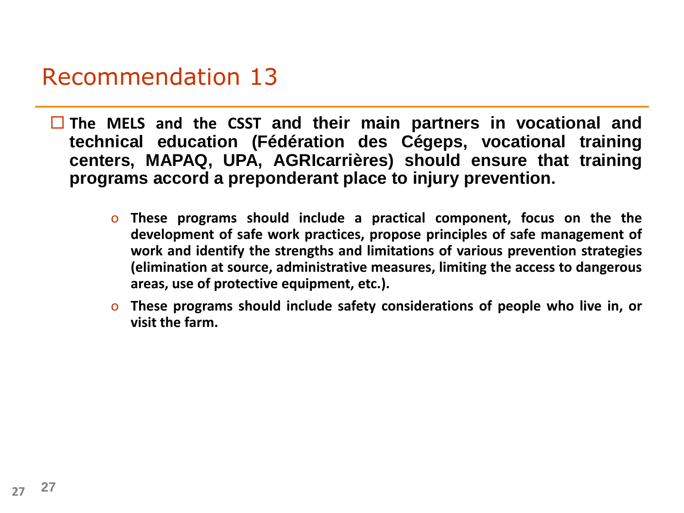### Recommendation 13

 **The MELS and the CSST and their main partners in vocational and technical education (Fédération des Cégeps, vocational training centers, MAPAQ, UPA, AGRIcarrières) should ensure that training programs accord a preponderant place to injury prevention.**

- o **These programs should include a practical component, focus on the the development of safe work practices, propose principles of safe management of work and identify the strengths and limitations of various prevention strategies (elimination at source, administrative measures, limiting the access to dangerous areas, use of protective equipment, etc.).**
- o **These programs should include safety considerations of people who live in, or visit the farm.**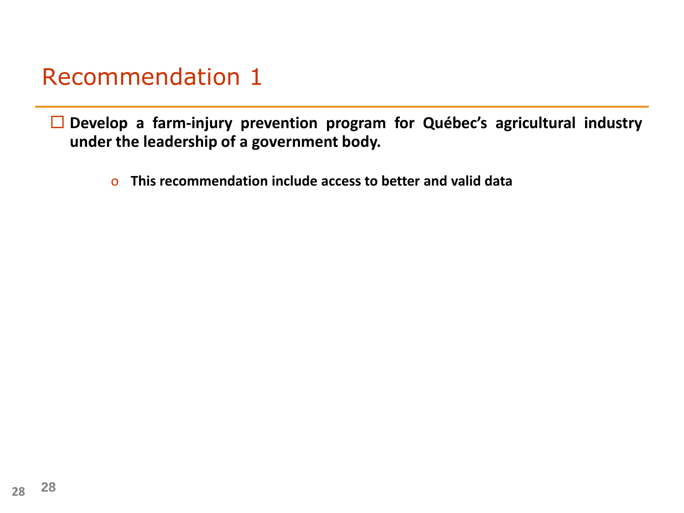## Recommendation 1

 **Develop a farm-injury prevention program for Québec's agricultural industry under the leadership of a government body.**

o **This recommendation include access to better and valid data**